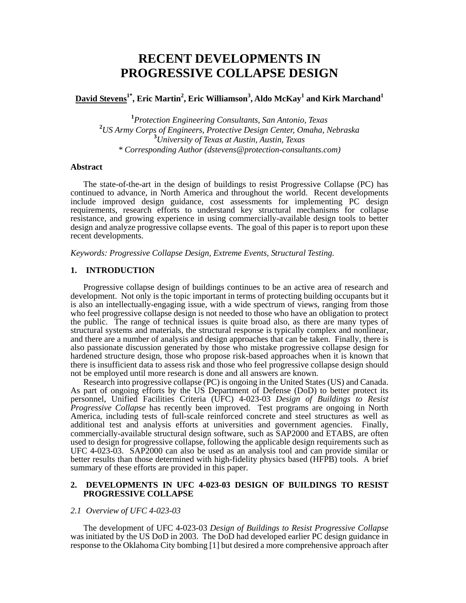# **RECENT DEVELOPMENTS IN PROGRESSIVE COLLAPSE DESIGN**

# $\mathbf{David\ Stevens}^{1^*},$  Eric Martin $^2$ , Eric Williamson $^3,$  Aldo McKay $^1$  and Kirk Marchand $^1$

 *Protection Engineering Consultants, San Antonio, Texas US Army Corps of Engineers, Protective Design Center, Omaha, Nebraska University of Texas at Austin, Austin, Texas \* Corresponding Author (dstevens@protection-consultants.com)* 

## **Abstract**

 The state-of-the-art in the design of buildings to resist Progressive Collapse (PC) has continued to advance, in North America and throughout the world. Recent developments include improved design guidance, cost assessments for implementing PC design requirements, research efforts to understand key structural mechanisms for collapse resistance, and growing experience in using commercially-available design tools to better design and analyze progressive collapse events. The goal of this paper is to report upon these recent developments.

*Keywords: Progressive Collapse Design, Extreme Events, Structural Testing.* 

#### **1. INTRODUCTION**

Progressive collapse design of buildings continues to be an active area of research and development. Not only is the topic important in terms of protecting building occupants but it is also an intellectually-engaging issue, with a wide spectrum of views, ranging from those who feel progressive collapse design is not needed to those who have an obligation to protect the public. The range of technical issues is quite broad also, as there are many types of structural systems and materials, the structural response is typically complex and nonlinear, and there are a number of analysis and design approaches that can be taken. Finally, there is also passionate discussion generated by those who mistake progressive collapse design for hardened structure design, those who propose risk-based approaches when it is known that there is insufficient data to assess risk and those who feel progressive collapse design should not be employed until more research is done and all answers are known.

Research into progressive collapse (PC) is ongoing in the United States (US) and Canada. As part of ongoing efforts by the US Department of Defense (DoD) to better protect its personnel, Unified Facilities Criteria (UFC) 4-023-03 *Design of Buildings to Resist Progressive Collapse* has recently been improved. Test programs are ongoing in North America, including tests of full-scale reinforced concrete and steel structures as well as additional test and analysis efforts at universities and government agencies. Finally, commercially-available structural design software, such as SAP2000 and ETABS, are often used to design for progressive collapse, following the applicable design requirements such as UFC 4-023-03. SAP2000 can also be used as an analysis tool and can provide similar or better results than those determined with high-fidelity physics based (HFPB) tools. A brief summary of these efforts are provided in this paper.

#### **2. DEVELOPMENTS IN UFC 4-023-03 DESIGN OF BUILDINGS TO RESIST PROGRESSIVE COLLAPSE**

## *2.1 Overview of UFC 4-023-03*

 The development of UFC 4-023-03 *Design of Buildings to Resist Progressive Collapse* was initiated by the US DoD in 2003. The DoD had developed earlier PC design guidance in response to the Oklahoma City bombing [1] but desired a more comprehensive approach after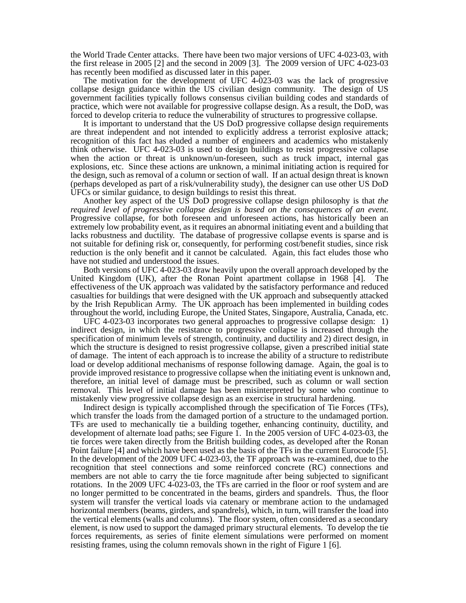the World Trade Center attacks. There have been two major versions of UFC 4-023-03, with the first release in 2005 [2] and the second in 2009 [3]. The 2009 version of UFC 4-023-03 has recently been modified as discussed later in this paper.

The motivation for the development of UFC  $4-023-03$  was the lack of progressive collapse design guidance within the US civilian design community. The design of US government facilities typically follows consensus civilian building codes and standards of practice, which were not available for progressive collapse design. As a result, the DoD, was forced to develop criteria to reduce the vulnerability of structures to progressive collapse.

 It is important to understand that the US DoD progressive collapse design requirements are threat independent and not intended to explicitly address a terrorist explosive attack; recognition of this fact has eluded a number of engineers and academics who mistakenly think otherwise. UFC 4-023-03 is used to design buildings to resist progressive collapse when the action or threat is unknown/un-foreseen, such as truck impact, internal gas explosions, etc. Since these actions are unknown, a minimal initiating action is required for the design, such as removal of a column or section of wall. If an actual design threat is known (perhaps developed as part of a risk/vulnerability study), the designer can use other US DoD UFCs or similar guidance, to design buildings to resist this threat.

 Another key aspect of the US DoD progressive collapse design philosophy is that *the required level of progressive collapse design is based on the consequences of an event*. Progressive collapse, for both foreseen and unforeseen actions, has historically been an extremely low probability event, as it requires an abnormal initiating event and a building that lacks robustness and ductility. The database of progressive collapse events is sparse and is not suitable for defining risk or, consequently, for performing cost/benefit studies, since risk reduction is the only benefit and it cannot be calculated. Again, this fact eludes those who have not studied and understood the issues.

 Both versions of UFC 4-023-03 draw heavily upon the overall approach developed by the United Kingdom (UK), after the Ronan Point apartment collapse in 1968 [4]. The effectiveness of the UK approach was validated by the satisfactory performance and reduced casualties for buildings that were designed with the UK approach and subsequently attacked by the Irish Republican Army. The UK approach has been implemented in building codes throughout the world, including Europe, the United States, Singapore, Australia, Canada, etc.

 UFC 4-023-03 incorporates two general approaches to progressive collapse design: 1) indirect design, in which the resistance to progressive collapse is increased through the specification of minimum levels of strength, continuity, and ductility and 2) direct design, in which the structure is designed to resist progressive collapse, given a prescribed initial state of damage. The intent of each approach is to increase the ability of a structure to redistribute load or develop additional mechanisms of response following damage. Again, the goal is to provide improved resistance to progressive collapse when the initiating event is unknown and, therefore, an initial level of damage must be prescribed, such as column or wall section removal. This level of initial damage has been misinterpreted by some who continue to mistakenly view progressive collapse design as an exercise in structural hardening.

 Indirect design is typically accomplished through the specification of Tie Forces (TFs), which transfer the loads from the damaged portion of a structure to the undamaged portion. TFs are used to mechanically tie a building together, enhancing continuity, ductility, and development of alternate load paths; see Figure 1. In the 2005 version of UFC 4-023-03, the tie forces were taken directly from the British building codes, as developed after the Ronan Point failure [4] and which have been used as the basis of the TFs in the current Eurocode [5]. In the development of the 2009 UFC 4-023-03, the TF approach was re-examined, due to the recognition that steel connections and some reinforced concrete (RC) connections and members are not able to carry the tie force magnitude after being subjected to significant rotations. In the 2009 UFC 4-023-03, the TFs are carried in the floor or roof system and are no longer permitted to be concentrated in the beams, girders and spandrels. Thus, the floor system will transfer the vertical loads via catenary or membrane action to the undamaged horizontal members (beams, girders, and spandrels), which, in turn, will transfer the load into the vertical elements (walls and columns). The floor system, often considered as a secondary element, is now used to support the damaged primary structural elements. To develop the tie forces requirements, as series of finite element simulations were performed on moment resisting frames, using the column removals shown in the right of Figure 1 [6].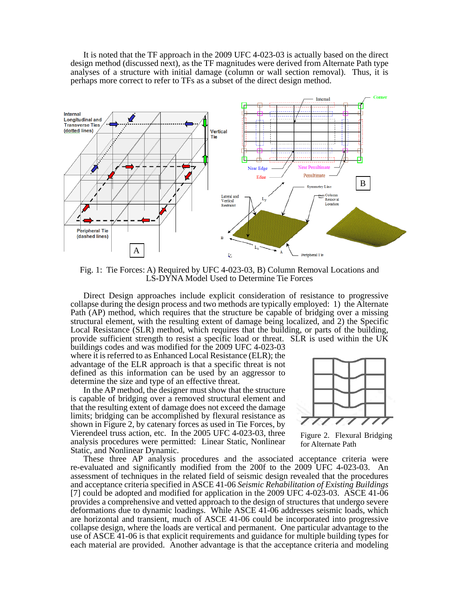It is noted that the TF approach in the 2009 UFC 4-023-03 is actually based on the direct design method (discussed next), as the TF magnitudes were derived from Alternate Path type analyses of a structure with initial damage (column or wall section removal). Thus, it is perhaps more correct to refer to TFs as a subset of the direct design method.



Fig. 1: Tie Forces: A) Required by UFC 4-023-03, B) Column Removal Locations and LS-DYNA Model Used to Determine Tie Forces

 Direct Design approaches include explicit consideration of resistance to progressive collapse during the design process and two methods are typically employed: 1) the Alternate Path (AP) method, which requires that the structure be capable of bridging over a missing structural element, with the resulting extent of damage being localized, and 2) the Specific Local Resistance (SLR) method, which requires that the building, or parts of the building, provide sufficient strength to resist a specific load or threat. SLR is used within the UK

buildings codes and was modified for the 2009 UFC 4-023-03 where it is referred to as Enhanced Local Resistance (ELR); the advantage of the ELR approach is that a specific threat is not defined as this information can be used by an aggressor to determine the size and type of an effective threat.

 In the AP method, the designer must show that the structure is capable of bridging over a removed structural element and that the resulting extent of damage does not exceed the damage limits; bridging can be accomplished by flexural resistance as shown in Figure 2, by catenary forces as used in Tie Forces, by Vierendeel truss action, etc. In the 2005 UFC 4-023-03, three analysis procedures were permitted: Linear Static, Nonlinear Static, and Nonlinear Dynamic.



Figure 2. Flexural Bridging for Alternate Path

 These three AP analysis procedures and the associated acceptance criteria were re-evaluated and significantly modified from the 200f to the 2009 UFC 4-023-03. An assessment of techniques in the related field of seismic design revealed that the procedures and acceptance criteria specified in ASCE 41-06 *Seismic Rehabilitation of Existing Buildings* [7] could be adopted and modified for application in the 2009 UFC 4-023-03. ASCE 41-06 provides a comprehensive and vetted approach to the design of structures that undergo severe deformations due to dynamic loadings. While ASCE 41-06 addresses seismic loads, which are horizontal and transient, much of ASCE 41-06 could be incorporated into progressive collapse design, where the loads are vertical and permanent. One particular advantage to the use of ASCE 41-06 is that explicit requirements and guidance for multiple building types for each material are provided. Another advantage is that the acceptance criteria and modeling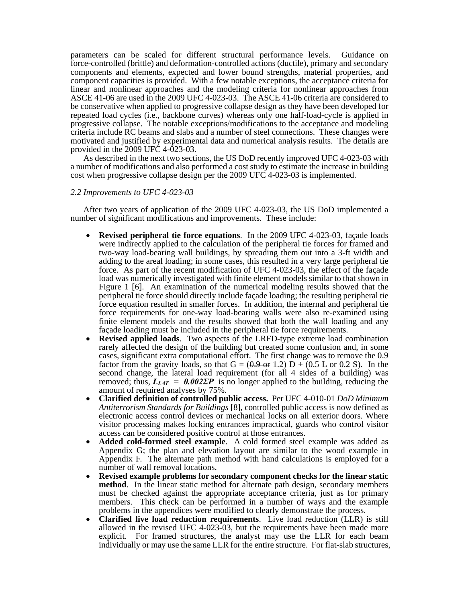parameters can be scaled for different structural performance levels. Guidance on force-controlled (brittle) and deformation-controlled actions (ductile), primary and secondary components and elements, expected and lower bound strengths, material properties, and component capacities is provided. With a few notable exceptions, the acceptance criteria for linear and nonlinear approaches and the modeling criteria for nonlinear approaches from ASCE 41-06 are used in the 2009 UFC 4-023-03. The ASCE 41-06 criteria are considered to be conservative when applied to progressive collapse design as they have been developed for repeated load cycles (i.e., backbone curves) whereas only one half-load-cycle is applied in progressive collapse. The notable exceptions/modifications to the acceptance and modeling criteria include RC beams and slabs and a number of steel connections. These changes were motivated and justified by experimental data and numerical analysis results. The details are provided in the 2009 UFC 4-023-03.

 As described in the next two sections, the US DoD recently improved UFC 4-023-03 with a number of modifications and also performed a cost study to estimate the increase in building cost when progressive collapse design per the 2009 UFC 4-023-03 is implemented.

#### *2.2 Improvements to UFC 4-023-03*

After two years of application of the 2009 UFC 4-023-03, the US DoD implemented a number of significant modifications and improvements. These include:

- **Revised peripheral tie force equations**. In the 2009 UFC 4-023-03, façade loads were indirectly applied to the calculation of the peripheral tie forces for framed and two-way load-bearing wall buildings, by spreading them out into a 3-ft width and adding to the areal loading; in some cases, this resulted in a very large peripheral tie force. As part of the recent modification of UFC 4-023-03, the effect of the façade load was numerically investigated with finite element models similar to that shown in Figure 1 [6]. An examination of the numerical modeling results showed that the peripheral tie force should directly include façade loading; the resulting peripheral tie force equation resulted in smaller forces. In addition, the internal and peripheral tie force requirements for one-way load-bearing walls were also re-examined using finite element models and the results showed that both the wall loading and any façade loading must be included in the peripheral tie force requirements. **Revised applied loads**. Two aspects of the LRFD-type extreme load combination
- rarely affected the design of the building but created some confusion and, in some cases, significant extra computational effort. The first change was to remove the 0.9 factor from the gravity loads, so that  $G = (0.9 - 0.2) D + (0.5 L)$  or 0.2 S). In the second change, the lateral load requirement (for all 4 sides of a building) was removed; thus,  $L_{LAT} = 0.002\Sigma P$  is no longer applied to the building, reducing the amount of required analyses by 75%.
- **Clarified definition of controlled public access.** Per UFC 4-010-01 *DoD Minimum Antiterrorism Standards for Buildings* [8], controlled public access is now defined as electronic access control devices or mechanical locks on all exterior doors. Where visitor processing makes locking entrances impractical, guards who control visitor
- Added cold-formed steel example. A cold formed steel example was added as Appendix G; the plan and elevation layout are similar to the wood example in Appendix F. The alternate path method with hand calculations is employed for a
- number of wall removal locations. **Revised example problems for secondary component checks for the linear static method**. In the linear static method for alternate path design, secondary members must be checked against the appropriate acceptance criteria, just as for primary members. This check can be performed in a number of ways and the example problems in the appendices were modified to clearly demonstrate the process.
- **Clarified live load reduction requirements**. Live load reduction (LLR) is still allowed in the revised UFC 4-023-03, but the requirements have been made more explicit. For framed structures, the analyst may use the LLR for each beam individually or may use the same LLR for the entire structure. For flat-slab structures,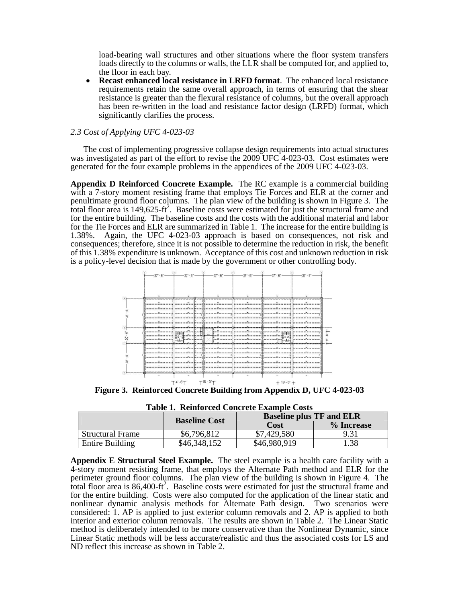load-bearing wall structures and other situations where the floor system transfers loads directly to the columns or walls, the LLR shall be computed for, and applied to, the floor in each bay.

**• Recast enhanced local resistance in LRFD format**. The enhanced local resistance requirements retain the same overall approach, in terms of ensuring that the shear resistance is greater than the flexural resistance of columns, but the overall approach has been re-written in the load and resistance factor design (LRFD) format, which significantly clarifies the process.

# *2.3 Cost of Applying UFC 4-023-03*

 The cost of implementing progressive collapse design requirements into actual structures was investigated as part of the effort to revise the 2009 UFC 4-023-03. Cost estimates were generated for the four example problems in the appendices of the 2009 UFC 4-023-03.

**Appendix D Reinforced Concrete Example.** The RC example is a commercial building with a 7-story moment resisting frame that employs Tie Forces and ELR at the corner and penultimate ground floor columns. The plan view of the building is shown in Figure 3. The total floor area is 149,625-ft2 . Baseline costs were estimated for just the structural frame and for the entire building. The baseline costs and the costs with the additional material and labor for the Tie Forces and ELR are summarized in Table 1. The increase for the entire building is 1.38%. Again, the UFC 4-023-03 approach is based on consequences, not risk and consequences; therefore, since it is not possible to determine the reduction in risk, the benefit of this 1.38% expenditure is unknown. Acceptance of this cost and unknown reduction in risk is a policy-level decision that is made by the government or other controlling body.



**Figure 3. Reinforced Concrete Building from Appendix D, UFC 4-023-03** 

**Table 1. Reinforced Concrete Example Costs** 

|                         | <b>Baseline Cost</b> | TWAR TI TIRIITARI CAR ANIINI ANIINININ ANDRA<br><b>Baseline plus TF and ELR</b> |            |  |  |
|-------------------------|----------------------|---------------------------------------------------------------------------------|------------|--|--|
|                         |                      | Cost                                                                            | % Increase |  |  |
| <b>Structural Frame</b> | \$6,796,812          | \$7,429,580                                                                     |            |  |  |
| Entire Building         | $$46,348$ .          | \$46,980,919                                                                    |            |  |  |

**Appendix E Structural Steel Example.** The steel example is a health care facility with a 4-story moment resisting frame, that employs the Alternate Path method and ELR for the perimeter ground floor columns. The plan view of the building is shown in Figure 4. The total floor area is  $86,400$ -ft<sup>2</sup>. Baseline costs were estimated for just the structural frame and for the entire building. Costs were also computed for the application of the linear static and nonlinear dynamic analysis methods for Alternate Path design. Two scenarios were considered: 1. AP is applied to just exterior column removals and 2. AP is applied to both interior and exterior column removals. The results are shown in Table 2. The Linear Static method is deliberately intended to be more conservative than the Nonlinear Dynamic, since Linear Static methods will be less accurate/realistic and thus the associated costs for LS and ND reflect this increase as shown in Table 2.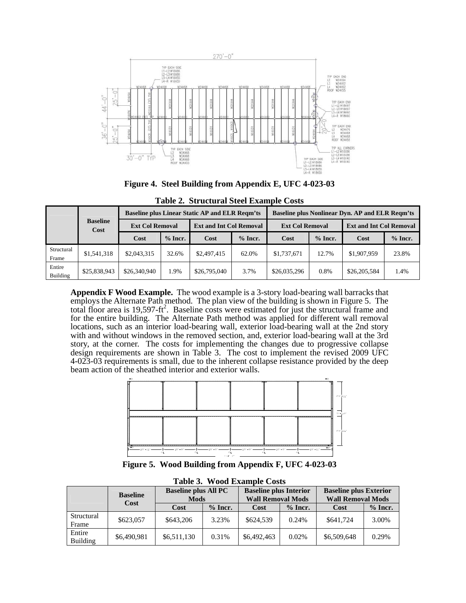

**Figure 4. Steel Building from Appendix E, UFC 4-023-03** 

|                     |                         | <b>Baseline plus Linear Static AP and ELR Regm'ts</b> |           |                                |           | <b>Baseline plus Nonlinear Dyn. AP and ELR Regm'ts</b> |           |                                |           |
|---------------------|-------------------------|-------------------------------------------------------|-----------|--------------------------------|-----------|--------------------------------------------------------|-----------|--------------------------------|-----------|
|                     | <b>Baseline</b><br>Cost | <b>Ext Col Removal</b>                                |           | <b>Ext and Int Col Removal</b> |           | <b>Ext Col Removal</b>                                 |           | <b>Ext and Int Col Removal</b> |           |
|                     |                         | Cost                                                  | $%$ Incr. | Cost                           | $%$ Incr. | Cost                                                   | $%$ Incr. | Cost                           | $%$ Incr. |
| Structural<br>Frame | \$1,541,318             | \$2,043,315                                           | 32.6%     | \$2,497,415                    | 62.0%     | \$1,737,671                                            | 12.7%     | \$1,907,959                    | 23.8%     |
| Entire<br>Building  | \$25,838,943            | \$26,340,940                                          | 1.9%      | \$26,795,040                   | 3.7%      | \$26,035,296                                           | 0.8%      | \$26,205,584                   | 1.4%      |

**Table 2. Structural Steel Example Costs** 

**Appendix F Wood Example.** The wood example is a 3-story load-bearing wall barracks that employs the Alternate Path method. The plan view of the building is shown in Figure 5. The total floor area is 19,597-ft<sup>2</sup>. Baseline costs were estimated for just the structural frame and for the entire building. The Alternate Path method was applied for different wall removal locations, such as an interior load-bearing wall, exterior load-bearing wall at the 2nd story with and without windows in the removed section, and, exterior load-bearing wall at the 3rd story, at the corner. The costs for implementing the changes due to progressive collapse design requirements are shown in Table 3. The cost to implement the revised 2009 UFC 4-023-03 requirements is small, due to the inherent collapse resistance provided by the deep beam action of the sheathed interior and exterior walls.



**Figure 5. Wood Building from Appendix F, UFC 4-023-03** 

|                           | <b>Baseline</b> | <b>Baseline plus All PC</b><br><b>Mods</b> |           | <b>Baseline plus Interior</b><br><b>Wall Removal Mods</b> |           | <b>Baseline plus Exterior</b><br><b>Wall Removal Mods</b> |           |  |
|---------------------------|-----------------|--------------------------------------------|-----------|-----------------------------------------------------------|-----------|-----------------------------------------------------------|-----------|--|
|                           | Cost            | <b>Cost</b>                                | $%$ Incr. | <b>Cost</b>                                               | $%$ Incr. | <b>Cost</b>                                               | $%$ Incr. |  |
| Structural<br>Frame       | \$623,057       | \$643,206                                  | 3.23%     | \$624,539                                                 | 0.24%     | \$641,724                                                 | 3.00%     |  |
| Entire<br><b>Building</b> | \$6,490,981     | \$6,511,130                                | 0.31%     | \$6,492,463                                               | 0.02%     | \$6,509,648                                               | 0.29%     |  |

**Table 3. Wood Example Costs**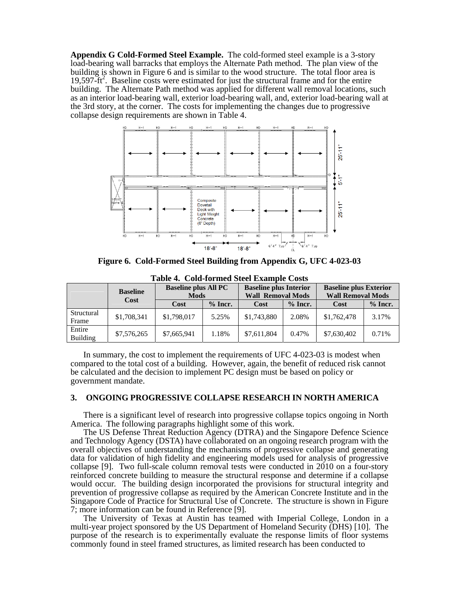**Appendix G Cold-Formed Steel Example.** The cold-formed steel example is a 3-story load-bearing wall barracks that employs the Alternate Path method. The plan view of the building is shown in Figure 6 and is similar to the wood structure. The total floor area is 19,597-ft<sup>2</sup>. Baseline costs were estimated for just the structural frame and for the entire building. The Alternate Path method was applied for different wall removal locations, such as an interior load-bearing wall, exterior load-bearing wall, and, exterior load-bearing wall at the 3rd story, at the corner. The costs for implementing the changes due to progressive collapse design requirements are shown in Table 4.



**Figure 6. Cold-Formed Steel Building from Appendix G, UFC 4-023-03** 

|                     | <b>Baseline</b> | <b>Baseline plus All PC</b><br><b>Mods</b> |           | <b>Baseline plus Interior</b><br><b>Wall Removal Mods</b> |           | <b>Baseline plus Exterior</b><br><b>Wall Removal Mods</b> |           |
|---------------------|-----------------|--------------------------------------------|-----------|-----------------------------------------------------------|-----------|-----------------------------------------------------------|-----------|
|                     | Cost            | Cost                                       | $%$ Incr. | Cost                                                      | $%$ Incr. | Cost                                                      | $%$ Incr. |
| Structural<br>Frame | \$1,708,341     | \$1,798,017                                | 5.25%     | \$1,743,880                                               | 2.08%     | \$1,762,478                                               | 3.17%     |
| Entire<br>Building  | \$7,576,265     | \$7,665,941                                | 1.18%     | \$7,611,804                                               | 0.47%     | \$7,630,402                                               | 0.71%     |

**Table 4. Cold-formed Steel Example Costs** 

In summary, the cost to implement the requirements of UFC 4-023-03 is modest when compared to the total cost of a building. However, again, the benefit of reduced risk cannot be calculated and the decision to implement PC design must be based on policy or government mandate.

## **3. ONGOING PROGRESSIVE COLLAPSE RESEARCH IN NORTH AMERICA**

 There is a significant level of research into progressive collapse topics ongoing in North America. The following paragraphs highlight some of this work.

 The US Defense Threat Reduction Agency (DTRA) and the Singapore Defence Science and Technology Agency (DSTA) have collaborated on an ongoing research program with the overall objectives of understanding the mechanisms of progressive collapse and generating data for validation of high fidelity and engineering models used for analysis of progressive collapse [9]. Two full-scale column removal tests were conducted in 2010 on a four-story reinforced concrete building to measure the structural response and determine if a collapse would occur. The building design incorporated the provisions for structural integrity and prevention of progressive collapse as required by the American Concrete Institute and in the Singapore Code of Practice for Structural Use of Concrete. The structure is shown in Figure 7; more information can be found in Reference [9].

 The University of Texas at Austin has teamed with Imperial College, London in a multi-year project sponsored by the US Department of Homeland Security (DHS) [10]. The purpose of the research is to experimentally evaluate the response limits of floor systems commonly found in steel framed structures, as limited research has been conducted to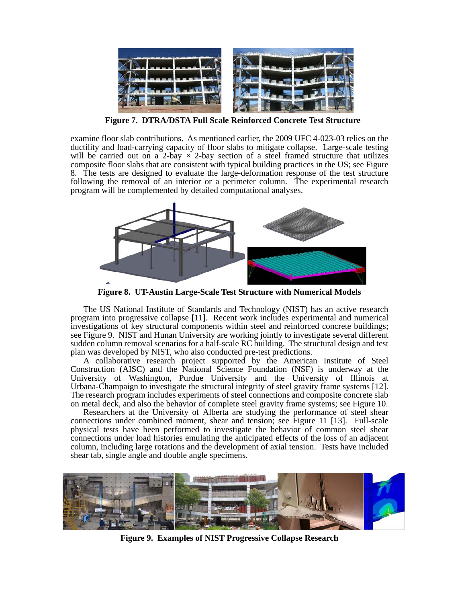

**Figure 7. DTRA/DSTA Full Scale Reinforced Concrete Test Structure** 

examine floor slab contributions. As mentioned earlier, the 2009 UFC 4-023-03 relies on the ductility and load-carrying capacity of floor slabs to mitigate collapse. Large-scale testing will be carried out on a 2-bay  $\times$  2-bay section of a steel framed structure that utilizes composite floor slabs that are consistent with typical building practices in the US; see Figure 8. The tests are designed to evaluate the large-deformation response of the test structure following the removal of an interior or a perimeter column. The experimental research program will be complemented by detailed computational analyses.



**Figure 8. UT-Austin Large-Scale Test Structure with Numerical Models** 

 The US National Institute of Standards and Technology (NIST) has an active research program into progressive collapse [11]. Recent work includes experimental and numerical investigations of key structural components within steel and reinforced concrete buildings; see Figure 9. NIST and Hunan University are working jointly to investigate several different sudden column removal scenarios for a half-scale RC building. The structural design and test plan was developed by NIST, who also conducted pre-test predictions.

A collaborative research project supported by the American Institute of Steel Construction (AISC) and the National Science Foundation (NSF) is underway at the University of Washington, Purdue University and the University of Illinois at Urbana-Champaign to investigate the structural integrity of steel gravity frame systems [12]. The research program includes experiments of steel connections and composite concrete slab on metal deck, and also the behavior of complete steel gravity frame systems; see Figure 10.

Researchers at the University of Alberta are studying the performance of steel shear connections under combined moment, shear and tension; see Figure 11 [13]. Full-scale physical tests have been performed to investigate the behavior of common steel shear connections under load histories emulating the anticipated effects of the loss of an adjacent column, including large rotations and the development of axial tension. Tests have included shear tab, single angle and double angle specimens.



**Figure 9. Examples of NIST Progressive Collapse Research**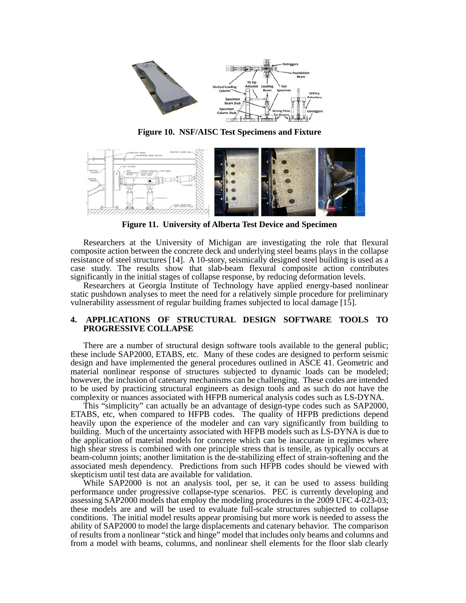

**Figure 10. NSF/AISC Test Specimens and Fixture** 



**Figure 11. University of Alberta Test Device and Specimen** 

 Researchers at the University of Michigan are investigating the role that flexural composite action between the concrete deck and underlying steel beams plays in the collapse resistance of steel structures [14]. A 10-story, seismically designed steel building is used as a case study. The results show that slab-beam flexural composite action contributes significantly in the initial stages of collapse response, by reducing deformation levels.

 Researchers at Georgia Institute of Technology have applied energy-based nonlinear static pushdown analyses to meet the need for a relatively simple procedure for preliminary vulnerability assessment of regular building frames subjected to local damage [15].

## **4. APPLICATIONS OF STRUCTURAL DESIGN SOFTWARE TOOLS TO PROGRESSIVE COLLAPSE**

There are a number of structural design software tools available to the general public; these include SAP2000, ETABS, etc. Many of these codes are designed to perform seismic design and have implemented the general procedures outlined in ASCE 41. Geometric and material nonlinear response of structures subjected to dynamic loads can be modeled; however, the inclusion of catenary mechanisms can be challenging. These codes are intended to be used by practicing structural engineers as design tools and as such do not have the complexity or nuances associated with HFPB numerical analysis codes such as LS-DYNA.

This "simplicity" can actually be an advantage of design-type codes such as SAP2000, ETABS, etc, when compared to HFPB codes. The quality of HFPB predictions depend heavily upon the experience of the modeler and can vary significantly from building to building. Much of the uncertainty associated with HFPB models such as LS-DYNA is due to the application of material models for concrete which can be inaccurate in regimes where high shear stress is combined with one principle stress that is tensile, as typically occurs at beam-column joints; another limitation is the de-stabilizing effect of strain-softening and the associated mesh dependency. Predictions from such HFPB codes should be viewed with skepticism until test data are available for validation.

While SAP2000 is not an analysis tool, per se, it can be used to assess building performance under progressive collapse-type scenarios. PEC is currently developing and assessing SAP2000 models that employ the modeling procedures in the 2009 UFC 4-023-03; these models are and will be used to evaluate full-scale structures subjected to collapse conditions. The initial model results appear promising but more work is needed to assess the ability of SAP2000 to model the large displacements and catenary behavior. The comparison of results from a nonlinear "stick and hinge" model that includes only beams and columns and from a model with beams, columns, and nonlinear shell elements for the floor slab clearly